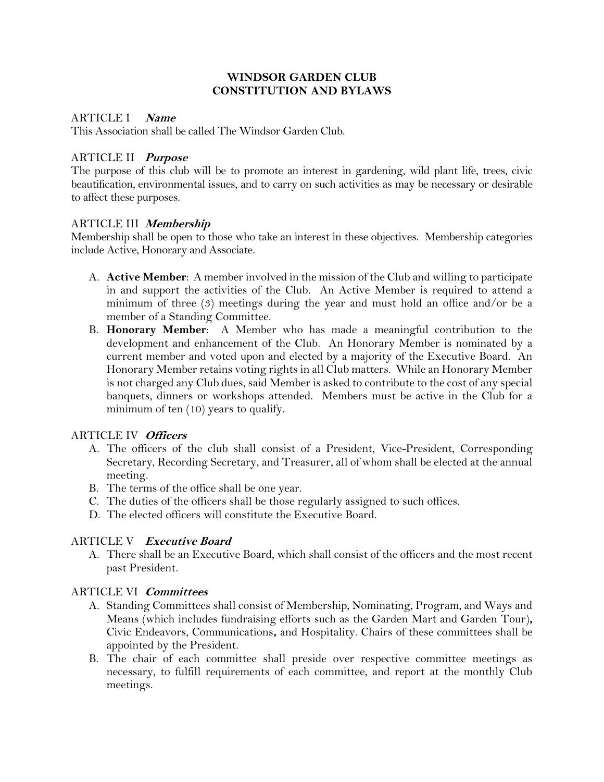#### **WINDSOR GARDEN CLUB CONSTITUTION AND BYLAWS**

#### ARTICLE I **Name**

This Association shall be called The Windsor Garden Club.

### ARTICLE II **Purpose**

The purpose of this club will be to promote an interest in gardening, wild plant life, trees, civic beautification, environmental issues, and to carry on such activities as may be necessary or desirable to affect these purposes.

#### ARTICLE III **Membership**

Membership shall be open to those who take an interest in these objectives. Membership categories include Active, Honorary and Associate.

- A. **Active Member**: A member involved in the mission of the Club and willing to participate in and support the activities of the Club. An Active Member is required to attend a minimum of three (3) meetings during the year and must hold an office and/or be a member of a Standing Committee.
- B. **Honorary Member**: A Member who has made a meaningful contribution to the development and enhancement of the Club. An Honorary Member is nominated by a current member and voted upon and elected by a majority of the Executive Board. An Honorary Member retains voting rights in all Club matters. While an Honorary Member is not charged any Club dues, said Member is asked to contribute to the cost of any special banquets, dinners or workshops attended. Members must be active in the Club for a minimum of ten (10) years to qualify.

#### ARTICLE IV **Officers**

- A. The officers of the club shall consist of a President, Vice-President, Corresponding Secretary, Recording Secretary, and Treasurer, all of whom shall be elected at the annual meeting.
- B. The terms of the office shall be one year.
- C. The duties of the officers shall be those regularly assigned to such offices.
- D. The elected officers will constitute the Executive Board.

## ARTICLE V **Executive Board**

A. There shall be an Executive Board, which shall consist of the officers and the most recent past President.

#### ARTICLE VI **Committees**

- A. Standing Committees shall consist of Membership, Nominating, Program, and Ways and Means (which includes fundraising efforts such as the Garden Mart and Garden Tour)**,** Civic Endeavors, Communications**,** and Hospitality. Chairs of these committees shall be appointed by the President.
- B. The chair of each committee shall preside over respective committee meetings as necessary, to fulfill requirements of each committee, and report at the monthly Club meetings.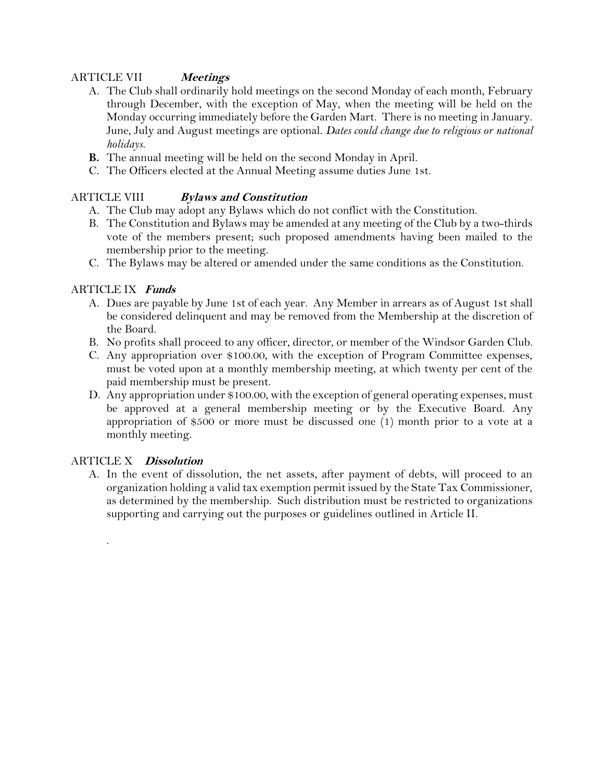### ARTICLE VII **Meetings**

- A. The Club shall ordinarily hold meetings on the second Monday of each month, February through December, with the exception of May, when the meeting will be held on the Monday occurring immediately before the Garden Mart. There is no meeting in January. June, July and August meetings are optional. *Dates could change due to religious or national holidays.*
- **B.** The annual meeting will be held on the second Monday in April.
- C. The Officers elected at the Annual Meeting assume duties June 1st.

## ARTICLE VIII **Bylaws and Constitution**

- A. The Club may adopt any Bylaws which do not conflict with the Constitution.
- B. The Constitution and Bylaws may be amended at any meeting of the Club by a two-thirds vote of the members present; such proposed amendments having been mailed to the membership prior to the meeting.
- C. The Bylaws may be altered or amended under the same conditions as the Constitution.

### ARTICLE IX **Funds**

- A. Dues are payable by June 1st of each year. Any Member in arrears as of August 1st shall be considered delinquent and may be removed from the Membership at the discretion of the Board.
- B. No profits shall proceed to any officer, director, or member of the Windsor Garden Club.
- C. Any appropriation over \$100.00, with the exception of Program Committee expenses, must be voted upon at a monthly membership meeting, at which twenty per cent of the paid membership must be present.
- D. Any appropriation under \$100.00, with the exception of general operating expenses, must be approved at a general membership meeting or by the Executive Board. Any appropriation of \$500 or more must be discussed one (1) month prior to a vote at a monthly meeting.

## ARTICLE X **Dissolution**

.

A. In the event of dissolution, the net assets, after payment of debts, will proceed to an organization holding a valid tax exemption permit issued by the State Tax Commissioner, as determined by the membership. Such distribution must be restricted to organizations supporting and carrying out the purposes or guidelines outlined in Article II.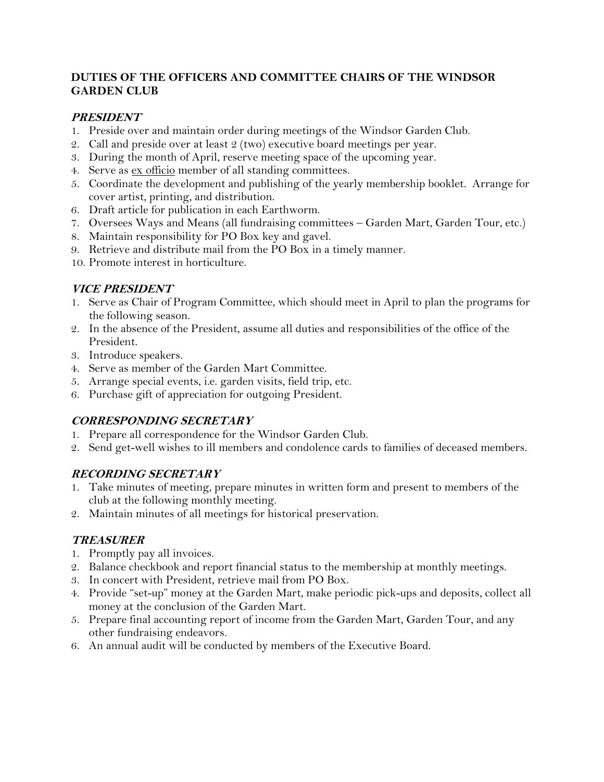## **DUTIES OF THE OFFICERS AND COMMITTEE CHAIRS OF THE WINDSOR GARDEN CLUB**

## **PRESIDENT**

- 1. Preside over and maintain order during meetings of the Windsor Garden Club.
- 2. Call and preside over at least 2 (two) executive board meetings per year.
- 3. During the month of April, reserve meeting space of the upcoming year.
- 4. Serve as ex officio member of all standing committees.
- 5. Coordinate the development and publishing of the yearly membership booklet. Arrange for cover artist, printing, and distribution.
- 6. Draft article for publication in each Earthworm.
- 7. Oversees Ways and Means (all fundraising committees Garden Mart, Garden Tour, etc.)
- 8. Maintain responsibility for PO Box key and gavel.
- 9. Retrieve and distribute mail from the PO Box in a timely manner.
- 10. Promote interest in horticulture.

### **VICE PRESIDENT**

- 1. Serve as Chair of Program Committee, which should meet in April to plan the programs for the following season.
- 2. In the absence of the President, assume all duties and responsibilities of the office of the President.
- 3. Introduce speakers.
- 4. Serve as member of the Garden Mart Committee.
- 5. Arrange special events, i.e. garden visits, field trip, etc.
- 6. Purchase gift of appreciation for outgoing President.

## **CORRESPONDING SECRETARY**

- 1. Prepare all correspondence for the Windsor Garden Club.
- 2. Send get-well wishes to ill members and condolence cards to families of deceased members.

## **RECORDING SECRETARY**

- 1. Take minutes of meeting, prepare minutes in written form and present to members of the club at the following monthly meeting.
- 2. Maintain minutes of all meetings for historical preservation.

## **TREASURER**

- 1. Promptly pay all invoices.
- 2. Balance checkbook and report financial status to the membership at monthly meetings.
- 3. In concert with President, retrieve mail from PO Box.
- 4. Provide "set-up" money at the Garden Mart, make periodic pick-ups and deposits, collect all money at the conclusion of the Garden Mart.
- 5. Prepare final accounting report of income from the Garden Mart, Garden Tour, and any other fundraising endeavors.
- 6. An annual audit will be conducted by members of the Executive Board.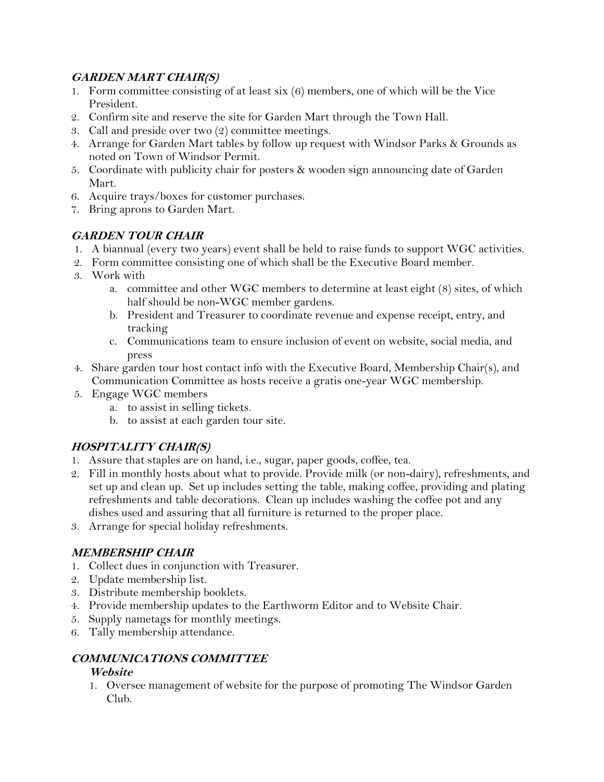# **GARDEN MART CHAIR(S)**

- 1. Form committee consisting of at least six (6) members, one of which will be the Vice President.
- 2. Confirm site and reserve the site for Garden Mart through the Town Hall.
- 3. Call and preside over two (2) committee meetings.
- 4. Arrange for Garden Mart tables by follow up request with Windsor Parks & Grounds as noted on Town of Windsor Permit.
- 5. Coordinate with publicity chair for posters & wooden sign announcing date of Garden Mart.
- 6. Acquire trays/boxes for customer purchases.
- 7. Bring aprons to Garden Mart.

# **GARDEN TOUR CHAIR**

- 1. A biannual (every two years) event shall be held to raise funds to support WGC activities.
- 2. Form committee consisting one of which shall be the Executive Board member.
- 3. Work with
	- a. committee and other WGC members to determine at least eight (8) sites, of which half should be non-WGC member gardens.
	- b. President and Treasurer to coordinate revenue and expense receipt, entry, and tracking
	- c. Communications team to ensure inclusion of event on website, social media, and press
- 4. Share garden tour host contact info with the Executive Board, Membership Chair(s), and Communication Committee as hosts receive a gratis one-year WGC membership.
- 5. Engage WGC members
	- a. to assist in selling tickets.
	- b. to assist at each garden tour site.

# **HOSPITALITY CHAIR(S)**

- 1. Assure that staples are on hand, i.e., sugar, paper goods, coffee, tea.
- 2. Fill in monthly hosts about what to provide. Provide milk (or non-dairy), refreshments, and set up and clean up. Set up includes setting the table, making coffee, providing and plating refreshments and table decorations. Clean up includes washing the coffee pot and any dishes used and assuring that all furniture is returned to the proper place.
- 3. Arrange for special holiday refreshments.

# **MEMBERSHIP CHAIR**

- 1. Collect dues in conjunction with Treasurer.
- 2. Update membership list.
- 3. Distribute membership booklets.
- 4. Provide membership updates to the Earthworm Editor and to Website Chair.
- 5. Supply nametags for monthly meetings.
- 6. Tally membership attendance.

## **COMMUNICATIONS COMMITTEE**

## **Website**

1. Oversee management of website for the purpose of promoting The Windsor Garden Club.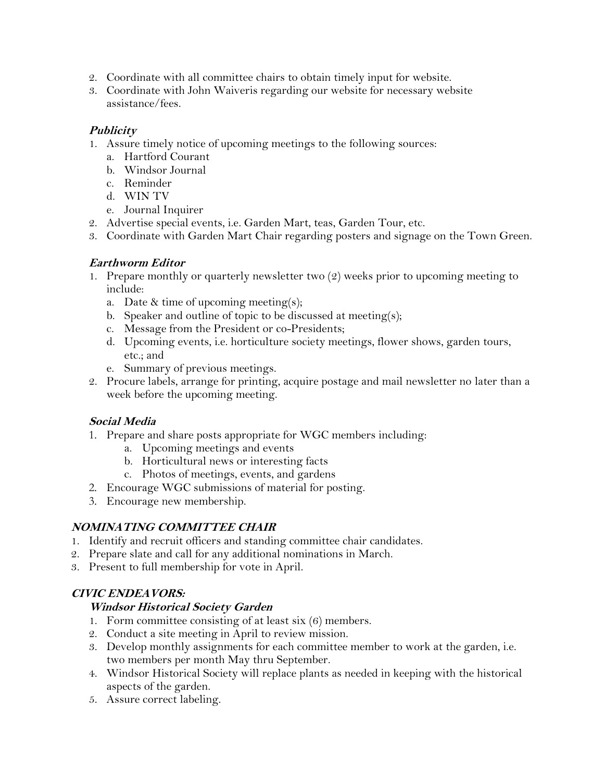- 2. Coordinate with all committee chairs to obtain timely input for website.
- 3. Coordinate with John Waiveris regarding our website for necessary website assistance/fees.

## **Publicity**

- 1. Assure timely notice of upcoming meetings to the following sources:
	- a. Hartford Courant
	- b. Windsor Journal
	- c. Reminder
	- d. WIN TV
	- e. Journal Inquirer
- 2. Advertise special events, i.e. Garden Mart, teas, Garden Tour, etc.
- 3. Coordinate with Garden Mart Chair regarding posters and signage on the Town Green.

## **Earthworm Editor**

- 1. Prepare monthly or quarterly newsletter two (2) weeks prior to upcoming meeting to include:
	- a. Date & time of upcoming meeting(s);
	- b. Speaker and outline of topic to be discussed at meeting(s);
	- c. Message from the President or co-Presidents;
	- d. Upcoming events, i.e. horticulture society meetings, flower shows, garden tours, etc.; and
	- e. Summary of previous meetings.
- 2. Procure labels, arrange for printing, acquire postage and mail newsletter no later than a week before the upcoming meeting.

## **Social Media**

- 1. Prepare and share posts appropriate for WGC members including:
	- a. Upcoming meetings and events
	- b. Horticultural news or interesting facts
	- c. Photos of meetings, events, and gardens
- 2. Encourage WGC submissions of material for posting.
- 3. Encourage new membership.

## **NOMINATING COMMITTEE CHAIR**

- 1. Identify and recruit officers and standing committee chair candidates.
- 2. Prepare slate and call for any additional nominations in March.
- 3. Present to full membership for vote in April.

## **CIVIC ENDEAVORS:**

## **Windsor Historical Society Garden**

- 1. Form committee consisting of at least six (6) members.
- 2. Conduct a site meeting in April to review mission.
- 3. Develop monthly assignments for each committee member to work at the garden, i.e. two members per month May thru September.
- 4. Windsor Historical Society will replace plants as needed in keeping with the historical aspects of the garden.
- 5. Assure correct labeling.